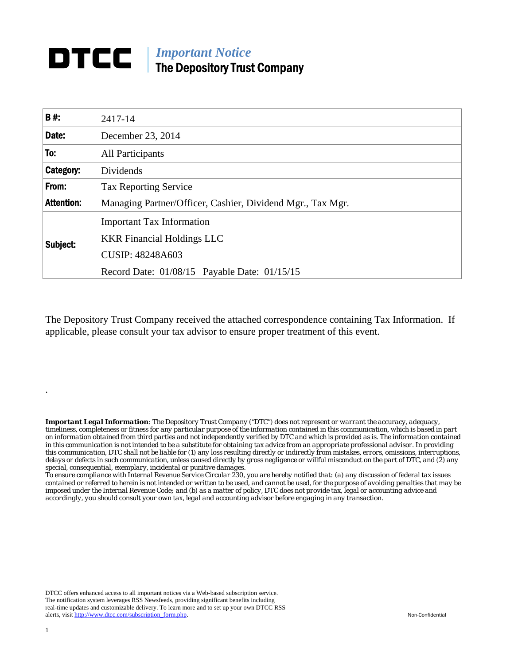## *Important Notice*  The Depository Trust Company

| <b>B#:</b>        | 2417-14                                                    |  |  |
|-------------------|------------------------------------------------------------|--|--|
| Date:             | December 23, 2014                                          |  |  |
| To:               | <b>All Participants</b>                                    |  |  |
| Category:         | Dividends                                                  |  |  |
| From:             | <b>Tax Reporting Service</b>                               |  |  |
| <b>Attention:</b> | Managing Partner/Officer, Cashier, Dividend Mgr., Tax Mgr. |  |  |
| Subject:          | <b>Important Tax Information</b>                           |  |  |
|                   | <b>KKR Financial Holdings LLC</b>                          |  |  |
|                   | <b>CUSIP: 48248A603</b>                                    |  |  |
|                   | Record Date: 01/08/15 Payable Date: 01/15/15               |  |  |

The Depository Trust Company received the attached correspondence containing Tax Information. If applicable, please consult your tax advisor to ensure proper treatment of this event.

*Important Legal Information: The Depository Trust Company ("DTC") does not represent or warrant the accuracy, adequacy, timeliness, completeness or fitness for any particular purpose of the information contained in this communication, which is based in part on information obtained from third parties and not independently verified by DTC and which is provided as is. The information contained in this communication is not intended to be a substitute for obtaining tax advice from an appropriate professional advisor. In providing this communication, DTC shall not be liable for (1) any loss resulting directly or indirectly from mistakes, errors, omissions, interruptions, delays or defects in such communication, unless caused directly by gross negligence or willful misconduct on the part of DTC, and (2) any special, consequential, exemplary, incidental or punitive damages.* 

*To ensure compliance with Internal Revenue Service Circular 230, you are hereby notified that: (a) any discussion of federal tax issues contained or referred to herein is not intended or written to be used, and cannot be used, for the purpose of avoiding penalties that may be imposed under the Internal Revenue Code; and (b) as a matter of policy, DTC does not provide tax, legal or accounting advice and accordingly, you should consult your own tax, legal and accounting advisor before engaging in any transaction.*

DTCC offers enhanced access to all important notices via a Web-based subscription service. The notification system leverages RSS Newsfeeds, providing significant benefits including real-time updates and customizable delivery. To learn more and to set up your own DTCC RSS alerts, visit http://www.dtcc.com/subscription\_form.php. Non-Confidential

.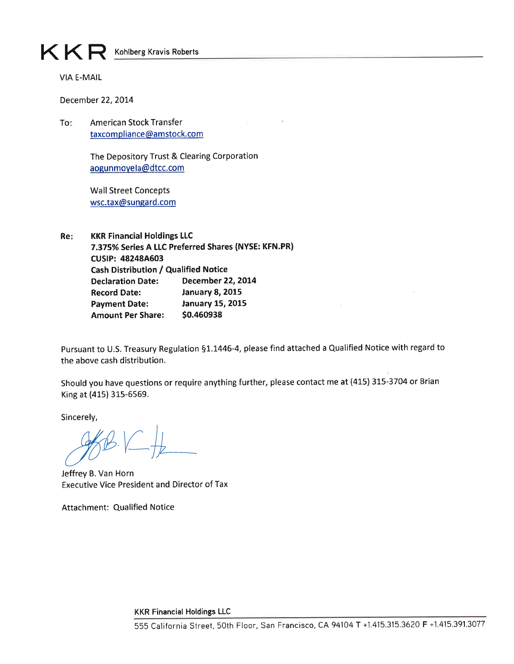KKR Kohlberg Kravis Roberts

**VIA E-MAIL** 

December 22, 2014

To: **American Stock Transfer** taxcompliance@amstock.com

> The Depository Trust & Clearing Corporation aogunmoyela@dtcc.com

**Wall Street Concepts** wsc.tax@sungard.com

**KKR Financial Holdings LLC** Re: 7.375% Series A LLC Preferred Shares (NYSE: KFN.PR) **CUSIP: 48248A603 Cash Distribution / Qualified Notice Declaration Date: December 22, 2014 January 8, 2015 Record Date: January 15, 2015 Payment Date: Amount Per Share:** \$0.460938

Pursuant to U.S. Treasury Regulation §1.1446-4, please find attached a Qualified Notice with regard to the above cash distribution.

Should you have questions or require anything further, please contact me at (415) 315-3704 or Brian King at (415) 315-6569.

Sincerely,

Jeffrey B. Van Horn **Executive Vice President and Director of Tax** 

**Attachment: Qualified Notice** 

**KKR Financial Holdings LLC**